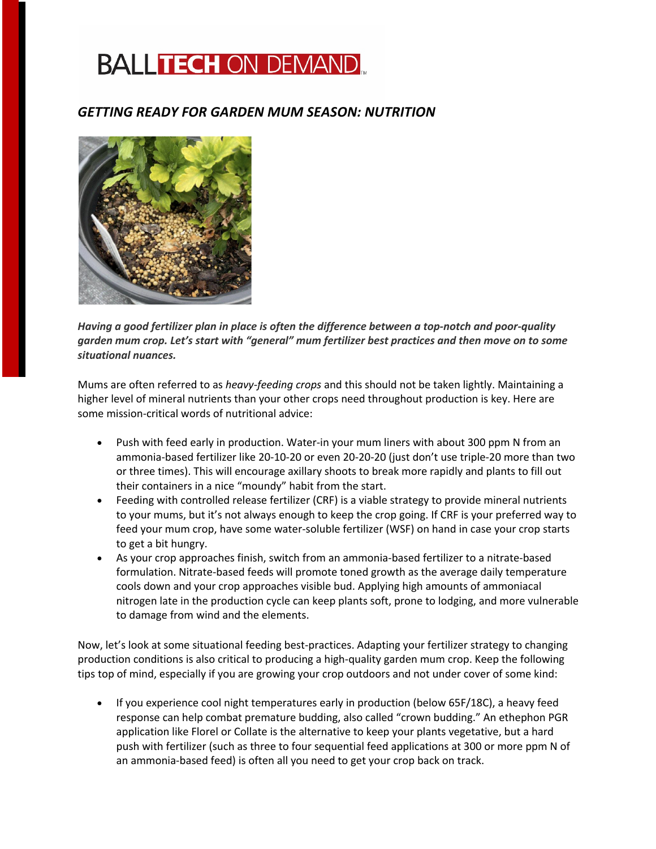## **BALLTECH ON DEMAND.**

## *GETTING READY FOR GARDEN MUM SEASON: NUTRITION*



*Having a good fertilizer plan in place is often the difference between a top-notch and poor-quality garden mum crop. Let's start with "general" mum fertilizer best practices and then move on to some situational nuances.*

Mums are often referred to as *heavy-feeding crops* and this should not be taken lightly. Maintaining a higher level of mineral nutrients than your other crops need throughout production is key. Here are some mission-critical words of nutritional advice:

- Push with feed early in production. Water-in your mum liners with about 300 ppm N from an ammonia-based fertilizer like 20-10-20 or even 20-20-20 (just don't use triple-20 more than two or three times). This will encourage axillary shoots to break more rapidly and plants to fill out their containers in a nice "moundy" habit from the start.
- Feeding with controlled release fertilizer (CRF) is a viable strategy to provide mineral nutrients to your mums, but it's not always enough to keep the crop going. If CRF is your preferred way to feed your mum crop, have some water-soluble fertilizer (WSF) on hand in case your crop starts to get a bit hungry.
- As your crop approaches finish, switch from an ammonia-based fertilizer to a nitrate-based formulation. Nitrate-based feeds will promote toned growth as the average daily temperature cools down and your crop approaches visible bud. Applying high amounts of ammoniacal nitrogen late in the production cycle can keep plants soft, prone to lodging, and more vulnerable to damage from wind and the elements.

Now, let's look at some situational feeding best-practices. Adapting your fertilizer strategy to changing production conditions is also critical to producing a high-quality garden mum crop. Keep the following tips top of mind, especially if you are growing your crop outdoors and not under cover of some kind:

• If you experience cool night temperatures early in production (below 65F/18C), a heavy feed response can help combat premature budding, also called "crown budding." An ethephon PGR application like Florel or Collate is the alternative to keep your plants vegetative, but a hard push with fertilizer (such as three to four sequential feed applications at 300 or more ppm N of an ammonia-based feed) is often all you need to get your crop back on track.